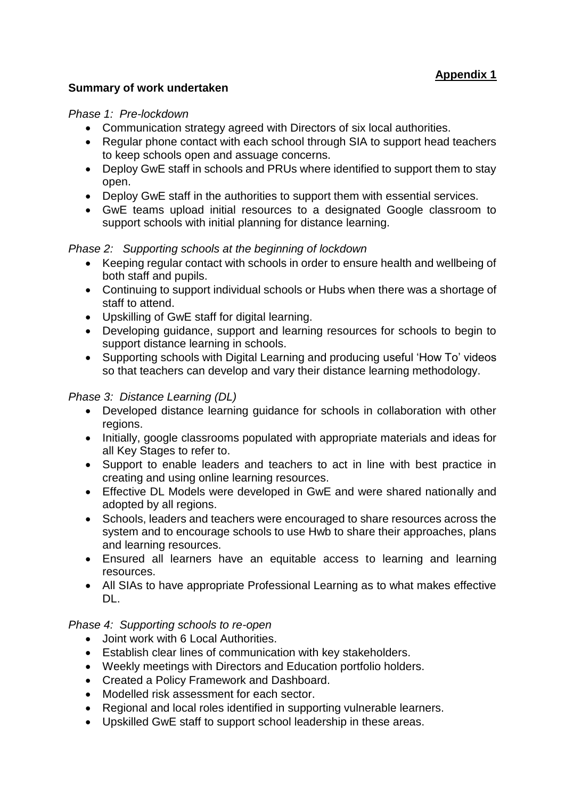# **Summary of work undertaken**

#### *Phase 1: Pre-lockdown*

- Communication strategy agreed with Directors of six local authorities.
- Regular phone contact with each school through SIA to support head teachers to keep schools open and assuage concerns.
- Deploy GwE staff in schools and PRUs where identified to support them to stay open.
- Deploy GwE staff in the authorities to support them with essential services.
- GwE teams upload initial resources to a designated Google classroom to support schools with initial planning for distance learning.

# *Phase 2: Supporting schools at the beginning of lockdown*

- Keeping regular contact with schools in order to ensure health and wellbeing of both staff and pupils.
- Continuing to support individual schools or Hubs when there was a shortage of staff to attend.
- Upskilling of GwE staff for digital learning.
- Developing guidance, support and learning resources for schools to begin to support distance learning in schools.
- Supporting schools with Digital Learning and producing useful 'How To' videos so that teachers can develop and vary their distance learning methodology.

## *Phase 3: Distance Learning (DL)*

- Developed distance learning guidance for schools in collaboration with other regions.
- Initially, google classrooms populated with appropriate materials and ideas for all Key Stages to refer to.
- Support to enable leaders and teachers to act in line with best practice in creating and using online learning resources.
- Effective DL Models were developed in GwE and were shared nationally and adopted by all regions.
- Schools, leaders and teachers were encouraged to share resources across the system and to encourage schools to use Hwb to share their approaches, plans and learning resources.
- Ensured all learners have an equitable access to learning and learning resources.
- All SIAs to have appropriate Professional Learning as to what makes effective DL.

### *Phase 4: Supporting schools to re-open*

- Joint work with 6 Local Authorities.
- Establish clear lines of communication with key stakeholders.
- Weekly meetings with Directors and Education portfolio holders.
- Created a Policy Framework and Dashboard.
- Modelled risk assessment for each sector.
- Regional and local roles identified in supporting vulnerable learners.
- Upskilled GwE staff to support school leadership in these areas.